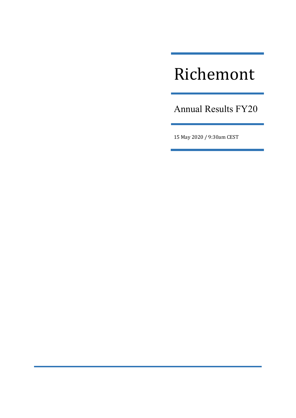# Richemont

Annual Results FY20

15 May 2020 / 9:30am CEST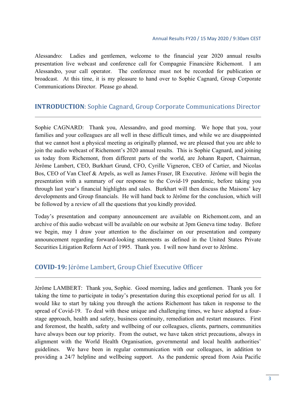Alessandro: Ladies and gentlemen, welcome to the financial year 2020 annual results presentation live webcast and conference call for Compagnie Financière Richemont. I am Alessandro, your call operator. The conference must not be recorded for publication or broadcast. At this time, it is my pleasure to hand over to Sophie Cagnard, Group Corporate Communications Director. Please go ahead.

## **INTRODUCTION:** Sophie Cagnard, Group Corporate Communications Director

Sophie CAGNARD: Thank you, Alessandro, and good morning. We hope that you, your families and your colleagues are all well in these difficult times, and while we are disappointed that we cannot host a physical meeting as originally planned, we are pleased that you are able to join the audio webcast of Richemont's 2020 annual results. This is Sophie Cagnard, and joining us today from Richemont, from different parts of the world, are Johann Rupert, Chairman, Jérôme Lambert, CEO, Burkhart Grund, CFO, Cyrille Vigneron, CEO of Cartier, and Nicolas Bos, CEO of Van Cleef & Arpels, as well as James Fraser, IR Executive. Jérôme will begin the presentation with a summary of our response to the Covid-19 pandemic, before taking you through last year's financial highlights and sales. Burkhart will then discuss the Maisons' key developments and Group financials. He will hand back to Jérôme for the conclusion, which will be followed by a review of all the questions that you kindly provided.

Today's presentation and company announcement are available on Richemont.com, and an archive of this audio webcast will be available on our website at 3pm Geneva time today. Before we begin, may I draw your attention to the disclaimer on our presentation and company announcement regarding forward-looking statements as defined in the United States Private Securities Litigation Reform Act of 1995. Thank you. I will now hand over to Jérôme.

## **COVID‐19:** Jérôme Lambert, Group Chief Executive Officer

Jérôme LAMBERT: Thank you, Sophie. Good morning, ladies and gentlemen. Thank you for taking the time to participate in today's presentation during this exceptional period for us all. I would like to start by taking you through the actions Richemont has taken in response to the spread of Covid-19. To deal with these unique and challenging times, we have adopted a fourstage approach, health and safety, business continuity, remediation and restart measures. First and foremost, the health, safety and wellbeing of our colleagues, clients, partners, communities have always been our top priority. From the outset, we have taken strict precautions, always in alignment with the World Health Organisation, governmental and local health authorities' guidelines. We have been in regular communication with our colleagues, in addition to providing a 24/7 helpline and wellbeing support. As the pandemic spread from Asia Pacific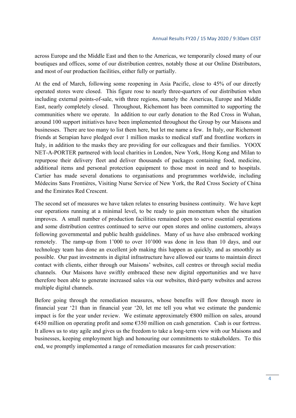across Europe and the Middle East and then to the Americas, we temporarily closed many of our boutiques and offices, some of our distribution centres, notably those at our Online Distributors, and most of our production facilities, either fully or partially.

At the end of March, following some reopening in Asia Pacific, close to 45% of our directly operated stores were closed. This figure rose to nearly three-quarters of our distribution when including external points-of-sale, with three regions, namely the Americas, Europe and Middle East, nearly completely closed. Throughout, Richemont has been committed to supporting the communities where we operate. In addition to our early donation to the Red Cross in Wuhan, around 100 support initiatives have been implemented throughout the Group by our Maisons and businesses. There are too many to list them here, but let me name a few. In Italy, our Richemont friends at Serapian have pledged over 1 million masks to medical staff and frontline workers in Italy, in addition to the masks they are providing for our colleagues and their families. YOOX NET-A-PORTER partnered with local charities in London, New York, Hong Kong and Milan to repurpose their delivery fleet and deliver thousands of packages containing food, medicine, additional items and personal protection equipment to those most in need and to hospitals. Cartier has made several donations to organisations and programmes worldwide, including Médecins Sans Frontières, Visiting Nurse Service of New York, the Red Cross Society of China and the Emirates Red Crescent.

The second set of measures we have taken relates to ensuring business continuity. We have kept our operations running at a minimal level, to be ready to gain momentum when the situation improves. A small number of production facilities remained open to serve essential operations and some distribution centres continued to serve our open stores and online customers, always following governmental and public health guidelines. Many of us have also embraced working remotely. The ramp-up from 1'000 to over 10'000 was done in less than 10 days, and our technology team has done an excellent job making this happen as quickly, and as smoothly as possible. Our past investments in digital infrastructure have allowed our teams to maintain direct contact with clients, either through our Maisons' websites, call centres or through social media channels. Our Maisons have swiftly embraced these new digital opportunities and we have therefore been able to generate increased sales via our websites, third-party websites and across multiple digital channels.

Before going through the remediation measures, whose benefits will flow through more in financial year '21 than in financial year '20, let me tell you what we estimate the pandemic impact is for the year under review. We estimate approximately €800 million on sales, around  $\epsilon$ 450 million on operating profit and some  $\epsilon$ 350 million on cash generation. Cash is our fortress. It allows us to stay agile and gives us the freedom to take a long-term view with our Maisons and businesses, keeping employment high and honouring our commitments to stakeholders. To this end, we promptly implemented a range of remediation measures for cash preservation: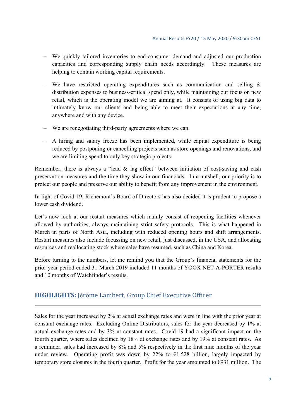- We quickly tailored inventories to end-consumer demand and adjusted our production capacities and corresponding supply chain needs accordingly. These measures are helping to contain working capital requirements.
- We have restricted operating expenditures such as communication and selling  $\&$ distribution expenses to business-critical spend only, while maintaining our focus on new retail, which is the operating model we are aiming at. It consists of using big data to intimately know our clients and being able to meet their expectations at any time, anywhere and with any device.
- We are renegotiating third-party agreements where we can.
- A hiring and salary freeze has been implemented, while capital expenditure is being reduced by postponing or cancelling projects such as store openings and renovations, and we are limiting spend to only key strategic projects.

Remember, there is always a "lead & lag effect" between initiation of cost-saving and cash preservation measures and the time they show in our financials. In a nutshell, our priority is to protect our people and preserve our ability to benefit from any improvement in the environment.

In light of Covid-19, Richemont's Board of Directors has also decided it is prudent to propose a lower cash dividend.

Let's now look at our restart measures which mainly consist of reopening facilities whenever allowed by authorities, always maintaining strict safety protocols. This is what happened in March in parts of North Asia, including with reduced opening hours and shift arrangements. Restart measures also include focussing on new retail, just discussed, in the USA, and allocating resources and reallocating stock where sales have resumed, such as China and Korea.

Before turning to the numbers, let me remind you that the Group's financial statements for the prior year period ended 31 March 2019 included 11 months of YOOX NET-A-PORTER results and 10 months of Watchfinder's results.

# **HIGHLIGHTS:** Jérôme Lambert, Group Chief Executive Officer

Sales for the year increased by 2% at actual exchange rates and were in line with the prior year at constant exchange rates. Excluding Online Distributors, sales for the year decreased by 1% at actual exchange rates and by 3% at constant rates. Covid-19 had a significant impact on the fourth quarter, where sales declined by 18% at exchange rates and by 19% at constant rates. As a reminder, sales had increased by 8% and 5% respectively in the first nine months of the year under review. Operating profit was down by 22% to  $\epsilon$ 1.528 billion, largely impacted by temporary store closures in the fourth quarter. Profit for the year amounted to  $\epsilon$ 931 million. The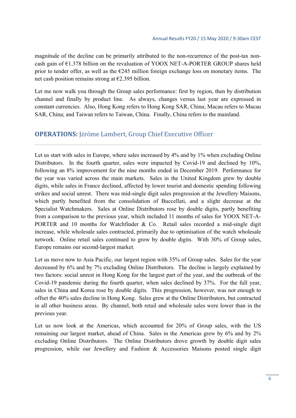magnitude of the decline can be primarily attributed to the non-recurrence of the post-tax noncash gain of  $E1.378$  billion on the revaluation of YOOX NET-A-PORTER GROUP shares held prior to tender offer, as well as the  $E245$  million foreign exchange loss on monetary items. The net cash position remains strong at  $\epsilon$ 2.395 billion.

Let me now walk you through the Group sales performance: first by region, then by distribution channel and finally by product line. As always, changes versus last year are expressed in constant currencies. Also, Hong Kong refers to Hong Kong SAR, China; Macau refers to Macau SAR, China; and Taiwan refers to Taiwan, China. Finally, China refers to the mainland.

# **OPERATIONS:** Jérôme Lambert, Group Chief Executive Officer

Let us start with sales in Europe, where sales increased by 4% and by 1% when excluding Online Distributors. In the fourth quarter, sales were impacted by Covid-19 and declined by 10%, following an 8% improvement for the nine months ended in December 2019. Performance for the year was varied across the main markets. Sales in the United Kingdom grew by double digits, while sales in France declined, affected by lower tourist and domestic spending following strikes and social unrest. There was mid-single digit sales progression at the Jewellery Maisons, which partly benefited from the consolidation of Buccellati, and a slight decrease at the Specialist Watchmakers. Sales at Online Distributors rose by double digits, partly benefiting from a comparison to the previous year, which included 11 months of sales for YOOX NET-A-PORTER and 10 months for Watchfinder & Co. Retail sales recorded a mid-single digit increase, while wholesale sales contracted, primarily due to optimisation of the watch wholesale network. Online retail sales continued to grow by double digits. With 30% of Group sales, Europe remains our second-largest market.

Let us move now to Asia Pacific, our largest region with 35% of Group sales. Sales for the year decreased by 6% and by 7% excluding Online Distributors. The decline is largely explained by two factors: social unrest in Hong Kong for the largest part of the year, and the outbreak of the Covid-19 pandemic during the fourth quarter, when sales declined by 37%. For the full year, sales in China and Korea rose by double digits. This progression, however, was not enough to offset the 40% sales decline in Hong Kong. Sales grew at the Online Distributors, but contracted in all other business areas. By channel, both retail and wholesale sales were lower than in the previous year.

Let us now look at the Americas, which accounted for 20% of Group sales, with the US remaining our largest market, ahead of China. Sales in the Americas grew by 6% and by 2% excluding Online Distributors. The Online Distributors drove growth by double digit sales progression, while our Jewellery and Fashion & Accessories Maisons posted single digit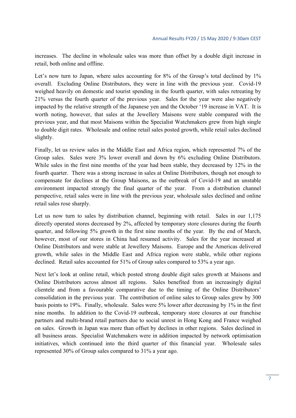increases. The decline in wholesale sales was more than offset by a double digit increase in retail, both online and offline.

Let's now turn to Japan, where sales accounting for 8% of the Group's total declined by 1% overall. Excluding Online Distributors, they were in line with the previous year. Covid-19 weighed heavily on domestic and tourist spending in the fourth quarter, with sales retreating by 21% versus the fourth quarter of the previous year. Sales for the year were also negatively impacted by the relative strength of the Japanese yen and the October '19 increase in VAT. It is worth noting, however, that sales at the Jewellery Maisons were stable compared with the previous year, and that most Maisons within the Specialist Watchmakers grew from high single to double digit rates. Wholesale and online retail sales posted growth, while retail sales declined slightly.

Finally, let us review sales in the Middle East and Africa region, which represented 7% of the Group sales. Sales were 3% lower overall and down by 6% excluding Online Distributors. While sales in the first nine months of the year had been stable, they decreased by 12% in the fourth quarter. There was a strong increase in sales at Online Distributors, though not enough to compensate for declines at the Group Maisons, as the outbreak of Covid-19 and an unstable environment impacted strongly the final quarter of the year. From a distribution channel perspective, retail sales were in line with the previous year, wholesale sales declined and online retail sales rose sharply.

Let us now turn to sales by distribution channel, beginning with retail. Sales in our 1,175 directly operated stores decreased by 2%, affected by temporary store closures during the fourth quarter, and following 5% growth in the first nine months of the year. By the end of March, however, most of our stores in China had resumed activity. Sales for the year increased at Online Distributors and were stable at Jewellery Maisons. Europe and the Americas delivered growth, while sales in the Middle East and Africa region were stable, while other regions declined. Retail sales accounted for 51% of Group sales compared to 53% a year ago.

Next let's look at online retail, which posted strong double digit sales growth at Maisons and Online Distributors across almost all regions. Sales benefited from an increasingly digital clientele and from a favourable comparative due to the timing of the Online Distributors' consolidation in the previous year. The contribution of online sales to Group sales grew by 300 basis points to 19%. Finally, wholesale. Sales were 5% lower after decreasing by 1% in the first nine months. In addition to the Covid-19 outbreak, temporary store closures at our franchise partners and multi-brand retail partners due to social unrest in Hong Kong and France weighed on sales. Growth in Japan was more than offset by declines in other regions. Sales declined in all business areas. Specialist Watchmakers were in addition impacted by network optimisation initiatives, which continued into the third quarter of this financial year. Wholesale sales represented 30% of Group sales compared to 31% a year ago.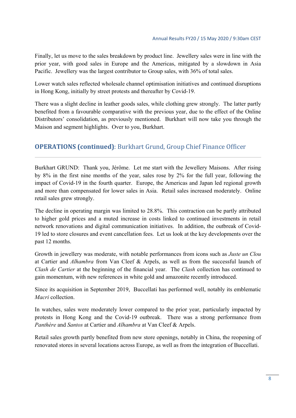Finally, let us move to the sales breakdown by product line. Jewellery sales were in line with the prior year, with good sales in Europe and the Americas, mitigated by a slowdown in Asia Pacific. Jewellery was the largest contributor to Group sales, with 36% of total sales.

Lower watch sales reflected wholesale channel optimisation initiatives and continued disruptions in Hong Kong, initially by street protests and thereafter by Covid-19.

There was a slight decline in leather goods sales, while clothing grew strongly. The latter partly benefited from a favourable comparative with the previous year, due to the effect of the Online Distributors' consolidation, as previously mentioned. Burkhart will now take you through the Maison and segment highlights. Over to you, Burkhart.

# **OPERATIONS** (**continued**): Burkhart Grund, Group Chief Finance Officer

Burkhart GRUND: Thank you, Jérôme. Let me start with the Jewellery Maisons. After rising by 8% in the first nine months of the year, sales rose by 2% for the full year, following the impact of Covid-19 in the fourth quarter. Europe, the Americas and Japan led regional growth and more than compensated for lower sales in Asia. Retail sales increased moderately. Online retail sales grew strongly.

The decline in operating margin was limited to 28.8%. This contraction can be partly attributed to higher gold prices and a muted increase in costs linked to continued investments in retail network renovations and digital communication initiatives. In addition, the outbreak of Covid-19 led to store closures and event cancellation fees. Let us look at the key developments over the past 12 months.

Growth in jewellery was moderate, with notable performances from icons such as *Juste un Clou* at Cartier and *Alhambra* from Van Cleef & Arpels, as well as from the successful launch of *Clash de Cartier* at the beginning of the financial year. The *Clash* collection has continued to gain momentum, with new references in white gold and amazonite recently introduced.

Since its acquisition in September 2019, Buccellati has performed well, notably its emblematic *Macri* collection.

In watches, sales were moderately lower compared to the prior year, particularly impacted by protests in Hong Kong and the Covid-19 outbreak. There was a strong performance from *Panthère* and *Santos* at Cartier and *Alhambra* at Van Cleef & Arpels.

Retail sales growth partly benefited from new store openings, notably in China, the reopening of renovated stores in several locations across Europe, as well as from the integration of Buccellati.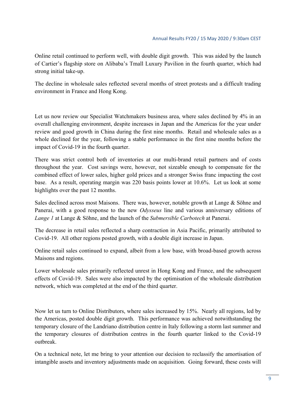Online retail continued to perform well, with double digit growth. This was aided by the launch of Cartier's flagship store on Alibaba's Tmall Luxury Pavilion in the fourth quarter, which had strong initial take-up.

The decline in wholesale sales reflected several months of street protests and a difficult trading environment in France and Hong Kong.

Let us now review our Specialist Watchmakers business area, where sales declined by 4% in an overall challenging environment, despite increases in Japan and the Americas for the year under review and good growth in China during the first nine months. Retail and wholesale sales as a whole declined for the year, following a stable performance in the first nine months before the impact of Covid-19 in the fourth quarter.

There was strict control both of inventories at our multi-brand retail partners and of costs throughout the year. Cost savings were, however, not sizeable enough to compensate for the combined effect of lower sales, higher gold prices and a stronger Swiss franc impacting the cost base. As a result, operating margin was 220 basis points lower at 10.6%. Let us look at some highlights over the past 12 months.

Sales declined across most Maisons. There was, however, notable growth at Lange & Söhne and Panerai, with a good response to the new *Odysseus* line and various anniversary editions of *Lange 1* at Lange & Söhne, and the launch of the *Submersible Carbotech* at Panerai.

The decrease in retail sales reflected a sharp contraction in Asia Pacific, primarily attributed to Covid-19. All other regions posted growth, with a double digit increase in Japan.

Online retail sales continued to expand, albeit from a low base, with broad-based growth across Maisons and regions.

Lower wholesale sales primarily reflected unrest in Hong Kong and France, and the subsequent effects of Covid-19. Sales were also impacted by the optimisation of the wholesale distribution network, which was completed at the end of the third quarter.

Now let us turn to Online Distributors, where sales increased by 15%. Nearly all regions, led by the Americas, posted double digit growth. This performance was achieved notwithstanding the temporary closure of the Landriano distribution centre in Italy following a storm last summer and the temporary closures of distribution centres in the fourth quarter linked to the Covid-19 outbreak.

On a technical note, let me bring to your attention our decision to reclassify the amortisation of intangible assets and inventory adjustments made on acquisition. Going forward, these costs will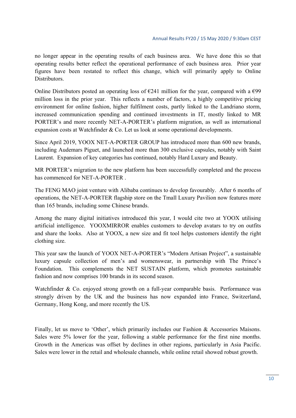no longer appear in the operating results of each business area. We have done this so that operating results better reflect the operational performance of each business area. Prior year figures have been restated to reflect this change, which will primarily apply to Online Distributors.

Online Distributors posted an operating loss of  $E241$  million for the year, compared with a  $E99$ million loss in the prior year. This reflects a number of factors, a highly competitive pricing environment for online fashion, higher fulfilment costs, partly linked to the Landriano storm, increased communication spending and continued investments in IT, mostly linked to MR PORTER's and more recently NET-A-PORTER's platform migration, as well as international expansion costs at Watchfinder & Co. Let us look at some operational developments.

Since April 2019, YOOX NET-A-PORTER GROUP has introduced more than 600 new brands, including Audemars Piguet, and launched more than 300 exclusive capsules, notably with Saint Laurent. Expansion of key categories has continued, notably Hard Luxury and Beauty.

MR PORTER's migration to the new platform has been successfully completed and the process has commenced for NET-A-PORTER

The FENG MAO joint venture with Alibaba continues to develop favourably. After 6 months of operations, the NET-A-PORTER flagship store on the Tmall Luxury Pavilion now features more than 165 brands, including some Chinese brands.

Among the many digital initiatives introduced this year, I would cite two at YOOX utilising artificial intelligence. YOOXMIRROR enables customers to develop avatars to try on outfits and share the looks. Also at YOOX, a new size and fit tool helps customers identify the right clothing size.

This year saw the launch of YOOX NET-A-PORTER's "Modern Artisan Project", a sustainable luxury capsule collection of men's and womenswear, in partnership with The Prince's Foundation. This complements the NET SUSTAIN platform, which promotes sustainable fashion and now comprises 100 brands in its second season.

Watchfinder & Co. enjoyed strong growth on a full-year comparable basis. Performance was strongly driven by the UK and the business has now expanded into France, Switzerland, Germany, Hong Kong, and more recently the US.

Finally, let us move to 'Other', which primarily includes our Fashion & Accessories Maisons. Sales were 5% lower for the year, following a stable performance for the first nine months. Growth in the Americas was offset by declines in other regions, particularly in Asia Pacific. Sales were lower in the retail and wholesale channels, while online retail showed robust growth.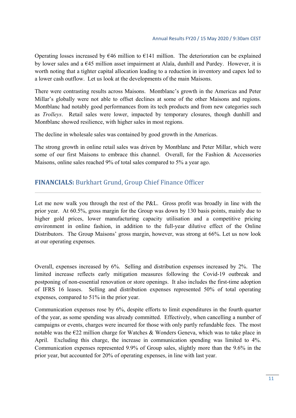Operating losses increased by  $646$  million to  $6141$  million. The deterioration can be explained by lower sales and a €45 million asset impairment at Alaïa, dunhill and Purdey. However, it is worth noting that a tighter capital allocation leading to a reduction in inventory and capex led to a lower cash outflow. Let us look at the developments of the main Maisons.

There were contrasting results across Maisons. Montblanc's growth in the Americas and Peter Millar's globally were not able to offset declines at some of the other Maisons and regions. Montblanc had notably good performances from its tech products and from new categories such as *Trolleys*. Retail sales were lower, impacted by temporary closures, though dunhill and Montblanc showed resilience, with higher sales in most regions.

The decline in wholesale sales was contained by good growth in the Americas.

The strong growth in online retail sales was driven by Montblanc and Peter Millar, which were some of our first Maisons to embrace this channel. Overall, for the Fashion & Accessories Maisons, online sales reached 9% of total sales compared to 5% a year ago.

# **FINANCIALS:** Burkhart Grund, Group Chief Finance Officer

Let me now walk you through the rest of the P&L. Gross profit was broadly in line with the prior year. At 60.5%, gross margin for the Group was down by 130 basis points, mainly due to higher gold prices, lower manufacturing capacity utilisation and a competitive pricing environment in online fashion, in addition to the full-year dilutive effect of the Online Distributors. The Group Maisons' gross margin, however, was strong at 66%. Let us now look at our operating expenses.

Overall, expenses increased by 6%. Selling and distribution expenses increased by 2%. The limited increase reflects early mitigation measures following the Covid-19 outbreak and postponing of non-essential renovation or store openings. It also includes the first-time adoption of IFRS 16 leases. Selling and distribution expenses represented 50% of total operating expenses, compared to 51% in the prior year.

Communication expenses rose by 6%, despite efforts to limit expenditures in the fourth quarter of the year, as some spending was already committed. Effectively, when cancelling a number of campaigns or events, charges were incurred for those with only partly refundable fees. The most notable was the  $E22$  million charge for Watches & Wonders Geneva, which was to take place in April. Excluding this charge, the increase in communication spending was limited to 4%. Communication expenses represented 9.9% of Group sales, slightly more than the 9.6% in the prior year, but accounted for 20% of operating expenses, in line with last year.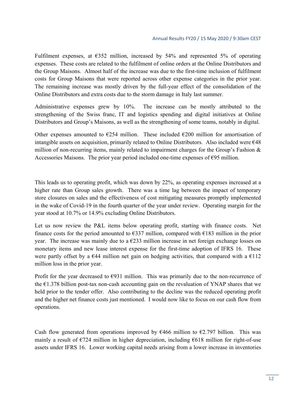Fulfilment expenses, at  $\epsilon$ 352 million, increased by 54% and represented 5% of operating expenses. These costs are related to the fulfilment of online orders at the Online Distributors and the Group Maisons. Almost half of the increase was due to the first-time inclusion of fulfilment costs for Group Maisons that were reported across other expense categories in the prior year. The remaining increase was mostly driven by the full-year effect of the consolidation of the Online Distributors and extra costs due to the storm damage in Italy last summer.

Administrative expenses grew by 10%. The increase can be mostly attributed to the strengthening of the Swiss franc, IT and logistics spending and digital initiatives at Online Distributors and Group's Maisons, as well as the strengthening of some teams, notably in digital.

Other expenses amounted to  $E$ 254 million. These included  $E$ 200 million for amortisation of intangible assets on acquisition, primarily related to Online Distributors. Also included were €48 million of non-recurring items, mainly related to impairment charges for the Group's Fashion & Accessories Maisons. The prior year period included one-time expenses of  $\epsilon$ 95 million.

This leads us to operating profit, which was down by 22%, as operating expenses increased at a higher rate than Group sales growth. There was a time lag between the impact of temporary store closures on sales and the effectiveness of cost mitigating measures promptly implemented in the wake of Covid-19 in the fourth quarter of the year under review. Operating margin for the year stood at 10.7% or 14.9% excluding Online Distributors.

Let us now review the P&L items below operating profit, starting with finance costs. Net finance costs for the period amounted to  $\epsilon$ 337 million, compared with  $\epsilon$ 183 million in the prior year. The increase was mainly due to a  $\epsilon$ 233 million increase in net foreign exchange losses on monetary items and new lease interest expense for the first-time adoption of IFRS 16. These were partly offset by a  $E$ 44 million net gain on hedging activities, that compared with a  $E$ 112 million loss in the prior year.

Profit for the year decreased to  $\epsilon$ 931 million. This was primarily due to the non-recurrence of the  $E1.378$  billion post-tax non-cash accounting gain on the revaluation of YNAP shares that we held prior to the tender offer. Also contributing to the decline was the reduced operating profit and the higher net finance costs just mentioned. I would now like to focus on our cash flow from operations.

Cash flow generated from operations improved by  $\epsilon$ 466 million to  $\epsilon$ 2.797 billion. This was mainly a result of  $\epsilon$ 724 million in higher depreciation, including  $\epsilon$ 618 million for right-of-use assets under IFRS 16. Lower working capital needs arising from a lower increase in inventories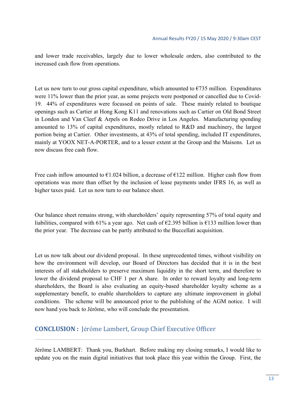and lower trade receivables, largely due to lower wholesale orders, also contributed to the increased cash flow from operations.

Let us now turn to our gross capital expenditure, which amounted to  $\epsilon$ 735 million. Expenditures were 11% lower than the prior year, as some projects were postponed or cancelled due to Covid-19. 44% of expenditures were focussed on points of sale. These mainly related to boutique openings such as Cartier at Hong Kong K11 and renovations such as Cartier on Old Bond Street in London and Van Cleef & Arpels on Rodeo Drive in Los Angeles. Manufacturing spending amounted to 13% of capital expenditures, mostly related to R&D and machinery, the largest portion being at Cartier. Other investments, at 43% of total spending, included IT expenditures, mainly at YOOX NET-A-PORTER, and to a lesser extent at the Group and the Maisons. Let us now discuss free cash flow.

Free cash inflow amounted to  $\epsilon$ 1.024 billion, a decrease of  $\epsilon$ 122 million. Higher cash flow from operations was more than offset by the inclusion of lease payments under IFRS 16, as well as higher taxes paid. Let us now turn to our balance sheet.

Our balance sheet remains strong, with shareholders' equity representing 57% of total equity and liabilities, compared with 61% a year ago. Net cash of  $\epsilon$ 2.395 billion is  $\epsilon$ 133 million lower than the prior year. The decrease can be partly attributed to the Buccellati acquisition.

Let us now talk about our dividend proposal. In these unprecedented times, without visibility on how the environment will develop, our Board of Directors has decided that it is in the best interests of all stakeholders to preserve maximum liquidity in the short term, and therefore to lower the dividend proposal to CHF 1 per A share. In order to reward loyalty and long-term shareholders, the Board is also evaluating an equity-based shareholder loyalty scheme as a supplementary benefit, to enable shareholders to capture any ultimate improvement in global conditions. The scheme will be announced prior to the publishing of the AGM notice. I will now hand you back to Jérôme, who will conclude the presentation.

## **CONCLUSION** : Jérôme Lambert, Group Chief Executive Officer

Jérôme LAMBERT: Thank you, Burkhart. Before making my closing remarks, I would like to update you on the main digital initiatives that took place this year within the Group. First, the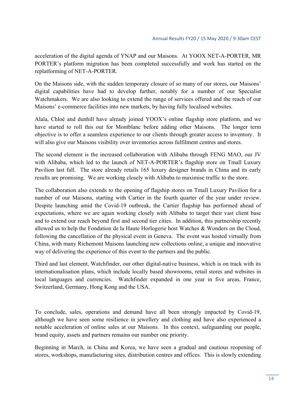acceleration of the digital agenda of YNAP and our Maisons. At YOOX NET-A-PORTER, MR PORTER's platform migration has been completed successfully and work has started on the replatforming of NET-A-PORTER.

On the Maisons side, with the sudden temporary closure of so many of our stores, our Maisons' digital capabilities have had to develop further, notably for a number of our Specialist Watchmakers. We are also looking to extend the range of services offered and the reach of our Maisons' e-commerce facilities into new markets, by having fully localised websites.

Alaïa, Chloé and dunhill have already joined YOOX's online flagship store platform, and we have started to roll this out for Montblanc before adding other Maisons. The longer term objective is to offer a seamless experience to our clients through greater access to inventory. It will also give our Maisons visibility over inventories across fulfilment centres and stores.

The second element is the increased collaboration with Alibaba through FENG MAO, our JV with Alibaba, which led to the launch of NET-A-PORTER's flagship store on Tmall Luxury Pavilion last fall. The store already retails 165 luxury designer brands in China and its early results are promising. We are working closely with Alibaba to maximise traffic to the store.

The collaboration also extends to the opening of flagship stores on Tmall Luxury Pavilion for a number of our Maisons, starting with Cartier in the fourth quarter of the year under review. Despite launching amid the Covid-19 outbreak, the Cartier flagship has performed ahead of expectations, where we are again working closely with Alibaba to target their vast client base and to extend our reach beyond first and second tier cities. In addition, this partnership recently allowed us to help the Fondation de la Haute Horlogerie host Watches & Wonders on the Cloud, following the cancellation of the physical event in Geneva. The event was hosted virtually from China, with many Richemont Maisons launching new collections online, a unique and innovative way of delivering the experience of this event to the partners and the public.

Third and last element, Watchfinder, our other digital-native business, which is on track with its internationalisation plans, which include locally based showrooms, retail stores and websites in local languages and currencies. Watchfinder expanded in one year in five areas, France, Switzerland, Germany, Hong Kong and the USA.

To conclude, sales, operations and demand have all been strongly impacted by Covid-19, although we have seen some resilience in jewellery and clothing and have also experienced a notable acceleration of online sales at our Maisons. In this context, safeguarding our people, brand equity, assets and partners remains our number one priority.

Beginning in March, in China and Korea, we have seen a gradual and cautious reopening of stores, workshops, manufacturing sites, distribution centres and offices. This is slowly extending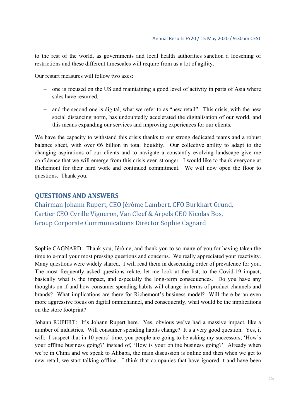to the rest of the world, as governments and local health authorities sanction a loosening of restrictions and these different timescales will require from us a lot of agility.

Our restart measures will follow two axes:

- one is focused on the US and maintaining a good level of activity in parts of Asia where sales have resumed,
- and the second one is digital, what we refer to as "new retail". This crisis, with the new social distancing norm, has undoubtedly accelerated the digitalisation of our world, and this means expanding our services and improving experiences for our clients.

We have the capacity to withstand this crisis thanks to our strong dedicated teams and a robust balance sheet, with over  $\epsilon$ 6 billion in total liquidity. Our collective ability to adapt to the changing aspirations of our clients and to navigate a constantly evolving landscape give me confidence that we will emerge from this crisis even stronger. I would like to thank everyone at Richemont for their hard work and continued commitment. We will now open the floor to questions. Thank you.

## **QUESTIONS AND ANSWERS**

Chairman Johann Rupert, CEO Jérôme Lambert, CFO Burkhart Grund, Cartier CEO Cyrille Vigneron, Van Cleef & Arpels CEO Nicolas Bos, Group Corporate Communications Director Sophie Cagnard

Sophie CAGNARD: Thank you, Jérôme, and thank you to so many of you for having taken the time to e-mail your most pressing questions and concerns. We really appreciated your reactivity. Many questions were widely shared. I will read them in descending order of prevalence for you. The most frequently asked questions relate, let me look at the list, to the Covid-19 impact, basically what is the impact, and especially the long-term consequences. Do you have any thoughts on if and how consumer spending habits will change in terms of product channels and brands? What implications are there for Richemont's business model? Will there be an even more aggressive focus on digital omnichannel, and consequently, what would be the implications on the store footprint?

Johann RUPERT: It's Johann Rupert here. Yes, obvious we've had a massive impact, like a number of industries. Will consumer spending habits change? It's a very good question. Yes, it will. I suspect that in 10 years' time, you people are going to be asking my successors, 'How's your offline business going?' instead of, 'How is your online business going?' Already when we're in China and we speak to Alibaba, the main discussion is online and then when we get to new retail, we start talking offline. I think that companies that have ignored it and have been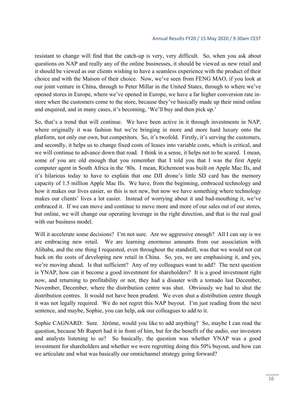resistant to change will find that the catch-up is very, very difficult. So, when you ask about questions on NAP and really any of the online businesses, it should be viewed as new retail and it should be viewed as our clients wishing to have a seamless experience with the product of their choice and with the Maison of their choice. Now, we've seen from FENG MAO, if you look at our joint venture in China, through to Peter Millar in the United States, through to where we've opened stores in Europe, where we've opened in Europe, we have a far higher conversion rate instore when the customers come to the store, because they've basically made up their mind online and enquired, and in many cases, it's becoming, 'We'll buy and then pick up.'

So, that's a trend that will continue. We have been active in it through investments in NAP, where originally it was fashion but we're bringing in more and more hard luxury onto the platform, not only our own, but competitors. So, it's twofold. Firstly, it's serving the customers, and secondly, it helps us to change fixed costs of leases into variable costs, which is critical, and we will continue to advance down that road. I think in a sense, it helps not to be scared. I mean, some of you are old enough that you remember that I told you that I was the first Apple computer agent in South Africa in the '80s. I mean, Richemont was built on Apple Mac IIs, and it's hilarious today to have to explain that one DJI drone's little SD card has the memory capacity of 1.5 million Apple Mac IIs. We have, from the beginning, embraced technology and how it makes our lives easier, so this is not new, but now we have something where technology makes our clients' lives a lot easier. Instead of worrying about it and bad-mouthing it, we've embraced it. If we can move and continue to move more and more of our sales out of our stores, but online, we will change our operating leverage in the right direction, and that is the real goal with our business model.

Will it accelerate some decisions? I'm not sure. Are we aggressive enough? All I can say is we are embracing new retail. We are learning enormous amounts from our association with Alibaba, and the one thing I requested, even throughout the standstill, was that we would not cut back on the costs of developing new retail in China. So, yes, we are emphasising it, and yes, we're moving ahead. Is that sufficient? Any of my colleagues want to add? The next question is YNAP, how can it become a good investment for shareholders? It is a good investment right now, and returning to profitability or not, they had a disaster with a tornado last December, November, December, where the distribution centre was shut. Obviously we had to shut the distribution centres. It would not have been prudent. We even shut a distribution centre though it was not legally required. We do not regret this NAP buyout. I'm just reading from the next sentence, and maybe, Sophie, you can help, ask our colleagues to add to it.

Sophie CAGNARD: Sure. Jérôme, would you like to add anything? So, maybe I can read the question, because Mr Rupert had it in front of him, but for the benefit of the audio, our investors and analysts listening to us? So basically, the question was whether YNAP was a good investment for shareholders and whether we were regretting doing this 50% buyout, and how can we articulate and what was basically our omnichannel strategy going forward?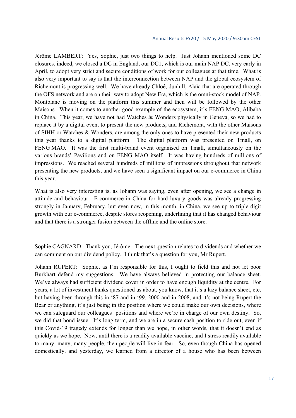Jérôme LAMBERT: Yes, Sophie, just two things to help. Just Johann mentioned some DC closures, indeed, we closed a DC in England, our DC1, which is our main NAP DC, very early in April, to adopt very strict and secure conditions of work for our colleagues at that time. What is also very important to say is that the interconnection between NAP and the global ecosystem of Richemont is progressing well. We have already Chloé, dunhill, Alaïa that are operated through the OFS network and are on their way to adopt New Era, which is the omni-stock model of NAP. Montblanc is moving on the platform this summer and then will be followed by the other Maisons. When it comes to another good example of the ecosystem, it's FENG MAO, Alibaba in China. This year, we have not had Watches & Wonders physically in Geneva, so we had to replace it by a digital event to present the new products, and Richemont, with the other Maisons of SIHH or Watches & Wonders, are among the only ones to have presented their new products this year thanks to a digital platform. The digital platform was presented on Tmall, on FENG MAO. It was the first multi-brand event organised on Tmall, simultaneously on the various brands' Pavilions and on FENG MAO itself. It was having hundreds of millions of impressions. We reached several hundreds of millions of impressions throughout that network presenting the new products, and we have seen a significant impact on our e-commerce in China this year.

What is also very interesting is, as Johann was saying, even after opening, we see a change in attitude and behaviour. E-commerce in China for hard luxury goods was already progressing strongly in January, February, but even now, in this month, in China, we see up to triple digit growth with our e-commerce, despite stores reopening, underlining that it has changed behaviour and that there is a stronger fusion between the offline and the online store.

Sophie CAGNARD: Thank you, Jérôme. The next question relates to dividends and whether we can comment on our dividend policy. I think that's a question for you, Mr Rupert.

Johann RUPERT: Sophie, as I'm responsible for this, I ought to field this and not let poor Burkhart defend my suggestions. We have always believed in protecting our balance sheet. We've always had sufficient dividend cover in order to have enough liquidity at the centre. For years, a lot of investment banks questioned us about, you know, that it's a lazy balance sheet, etc, but having been through this in '87 and in '99, 2000 and in 2008, and it's not being Rupert the Bear or anything, it's just being in the position where we could make our own decisions, where we can safeguard our colleagues' positions and where we're in charge of our own destiny. So, we did that bond issue. It's long term, and we are in a secure cash position to ride out, even if this Covid-19 tragedy extends for longer than we hope, in other words, that it doesn't end as quickly as we hope. Now, until there is a readily available vaccine, and I stress readily available to many, many, many people, then people will live in fear. So, even though China has opened domestically, and yesterday, we learned from a director of a house who has been between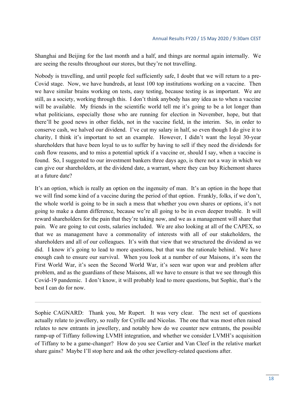Shanghai and Beijing for the last month and a half, and things are normal again internally. We are seeing the results throughout our stores, but they're not travelling.

Nobody is travelling, and until people feel sufficiently safe, I doubt that we will return to a pre-Covid stage. Now, we have hundreds, at least 100 top institutions working on a vaccine. Then we have similar brains working on tests, easy testing, because testing is as important. We are still, as a society, working through this. I don't think anybody has any idea as to when a vaccine will be available. My friends in the scientific world tell me it's going to be a lot longer than what politicians, especially those who are running for election in November, hope, but that there'll be good news in other fields, not in the vaccine field, in the interim. So, in order to conserve cash, we halved our dividend. I've cut my salary in half, so even though I do give it to charity, I think it's important to set an example. However, I didn't want the loyal 30-year shareholders that have been loyal to us to suffer by having to sell if they need the dividends for cash flow reasons, and to miss a potential uptick if a vaccine or, should I say, when a vaccine is found. So, I suggested to our investment bankers three days ago, is there not a way in which we can give our shareholders, at the dividend date, a warrant, where they can buy Richemont shares at a future date?

It's an option, which is really an option on the ingenuity of man. It's an option in the hope that we will find some kind of a vaccine during the period of that option. Frankly, folks, if we don't, the whole world is going to be in such a mess that whether you own shares or options, it's not going to make a damn difference, because we're all going to be in even deeper trouble. It will reward shareholders for the pain that they're taking now, and we as a management will share that pain. We are going to cut costs, salaries included. We are also looking at all of the CAPEX, so that we as management have a commonality of interests with all of our stakeholders, the shareholders and all of our colleagues. It's with that view that we structured the dividend as we did. I know it's going to lead to more questions, but that was the rationale behind. We have enough cash to ensure our survival. When you look at a number of our Maisons, it's seen the First World War, it's seen the Second World War, it's seen war upon war and problem after problem, and as the guardians of these Maisons, all we have to ensure is that we see through this Covid-19 pandemic. I don't know, it will probably lead to more questions, but Sophie, that's the best I can do for now.

Sophie CAGNARD: Thank you, Mr Rupert. It was very clear. The next set of questions actually relate to jewellery, so really for Cyrille and Nicolas. The one that was most often raised relates to new entrants in jewellery, and notably how do we counter new entrants, the possible ramp-up of Tiffany following LVMH integration, and whether we consider LVMH's acquisition of Tiffany to be a game-changer? How do you see Cartier and Van Cleef in the relative market share gains? Maybe I'll stop here and ask the other jewellery-related questions after.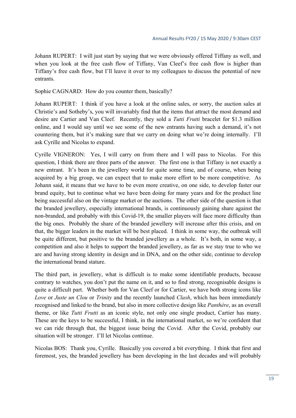Johann RUPERT: I will just start by saying that we were obviously offered Tiffany as well, and when you look at the free cash flow of Tiffany, Van Cleef's free cash flow is higher than Tiffany's free cash flow, but I'll leave it over to my colleagues to discuss the potential of new entrants.

Sophie CAGNARD: How do you counter them, basically?

Johann RUPERT: I think if you have a look at the online sales, or sorry, the auction sales at Christie's and Sotheby's, you will invariably find that the items that attract the most demand and desire are Cartier and Van Cleef. Recently, they sold a *Tutti Frutti* bracelet for \$1.3 million online, and I would say until we see some of the new entrants having such a demand, it's not countering them, but it's making sure that we carry on doing what we're doing internally. I'll ask Cyrille and Nicolas to expand.

Cyrille VIGNERON: Yes, I will carry on from there and I will pass to Nicolas. For this question, I think there are three parts of the answer. The first one is that Tiffany is not exactly a new entrant. It's been in the jewellery world for quite some time, and of course, when being acquired by a big group, we can expect that to make more effort to be more competitive. As Johann said, it means that we have to be even more creative, on one side, to develop faster our brand equity, but to continue what we have been doing for many years and for the product line being successful also on the vintage market or the auctions. The other side of the question is that the branded jewellery, especially international brands, is continuously gaining share against the non-branded, and probably with this Covid-19, the smaller players will face more difficulty than the big ones. Probably the share of the branded jewellery will increase after this crisis, and on that, the bigger leaders in the market will be best placed. I think in some way, the outbreak will be quite different, but positive to the branded jewellery as a whole. It's both, in some way, a competition and also it helps to support the branded jewellery, as far as we stay true to who we are and having strong identity in design and in DNA, and on the other side, continue to develop the international brand stature.

The third part, in jewellery, what is difficult is to make some identifiable products, because contrary to watches, you don't put the name on it, and so to find strong, recognisable designs is quite a difficult part. Whether both for Van Cleef or for Cartier, we have both strong icons like *Love* or *Juste un Clou* or *Trinity* and the recently launched *Clash*, which has been immediately recognised and linked to the brand, but also in more collective design like *Panthère*, as an overall theme, or like *Tutti Frutti* as an iconic style, not only one single product, Cartier has many. These are the keys to be successful, I think, in the international market, so we're confident that we can ride through that, the biggest issue being the Covid. After the Covid, probably our situation will be stronger. I'll let Nicolas continue.

Nicolas BOS: Thank you, Cyrille. Basically you covered a bit everything. I think that first and foremost, yes, the branded jewellery has been developing in the last decades and will probably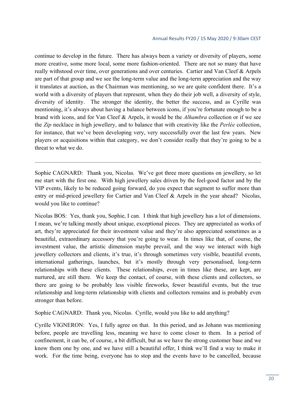continue to develop in the future. There has always been a variety or diversity of players, some more creative, some more local, some more fashion-oriented. There are not so many that have really withstood over time, over generations and over centuries. Cartier and Van Cleef & Arpels are part of that group and we see the long-term value and the long-term appreciation and the way it translates at auction, as the Chairman was mentioning, so we are quite confident there. It's a world with a diversity of players that represent, when they do their job well, a diversity of style, diversity of identity. The stronger the identity, the better the success, and as Cyrille was mentioning, it's always about having a balance between icons, if you're fortunate enough to be a brand with icons, and for Van Cleef & Arpels, it would be the *Alhambra* collection or if we see the *Zip* necklace in high jewellery, and to balance that with creativity like the *Perlée* collection, for instance, that we've been developing very, very successfully over the last few years. New players or acquisitions within that category, we don't consider really that they're going to be a threat to what we do.

Sophie CAGNARD: Thank you, Nicolas. We've got three more questions on jewellery, so let me start with the first one. With high jewellery sales driven by the feel-good factor and by the VIP events, likely to be reduced going forward, do you expect that segment to suffer more than entry or mid-priced jewellery for Cartier and Van Cleef & Arpels in the year ahead? Nicolas, would you like to continue?

Nicolas BOS: Yes, thank you, Sophie, I can. I think that high jewellery has a lot of dimensions. I mean, we're talking mostly about unique, exceptional pieces. They are appreciated as works of art, they're appreciated for their investment value and they're also appreciated sometimes as a beautiful, extraordinary accessory that you're going to wear. In times like that, of course, the investment value, the artistic dimension maybe prevail, and the way we interact with high jewellery collectors and clients, it's true, it's through sometimes very visible, beautiful events, international gatherings, launches, but it's mostly through very personalised, long-term relationships with these clients. These relationships, even in times like these, are kept, are nurtured, are still there. We keep the contact, of course, with these clients and collectors, so there are going to be probably less visible fireworks, fewer beautiful events, but the true relationship and long-term relationship with clients and collectors remains and is probably even stronger than before.

Sophie CAGNARD: Thank you, Nicolas. Cyrille, would you like to add anything?

Cyrille VIGNERON: Yes, I fully agree on that. In this period, and as Johann was mentioning before, people are travelling less, meaning we have to come closer to them. In a period of confinement, it can be, of course, a bit difficult, but as we have the strong customer base and we know them one by one, and we have still a beautiful offer, I think we'll find a way to make it work. For the time being, everyone has to stop and the events have to be cancelled, because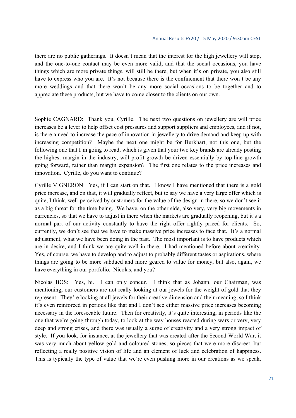there are no public gatherings. It doesn't mean that the interest for the high jewellery will stop, and the one-to-one contact may be even more valid, and that the social occasions, you have things which are more private things, will still be there, but when it's on private, you also still have to express who you are. It's not because there is the confinement that there won't be any more weddings and that there won't be any more social occasions to be together and to appreciate these products, but we have to come closer to the clients on our own.

Sophie CAGNARD: Thank you, Cyrille. The next two questions on jewellery are will price increases be a lever to help offset cost pressures and support suppliers and employees, and if not, is there a need to increase the pace of innovation in jewellery to drive demand and keep up with increasing competition? Maybe the next one might be for Burkhart, not this one, but the following one that I'm going to read, which is given that your two key brands are already posting the highest margin in the industry, will profit growth be driven essentially by top-line growth going forward, rather than margin expansion? The first one relates to the price increases and innovation. Cyrille, do you want to continue?

Cyrille VIGNERON: Yes, if I can start on that. I know I have mentioned that there is a gold price increase, and on that, it will gradually reflect, but to say we have a very large offer which is quite, I think, well-perceived by customers for the value of the design in there, so we don't see it as a big threat for the time being. We have, on the other side, also very, very big movements in currencies, so that we have to adjust in there when the markets are gradually reopening, but it's a normal part of our activity constantly to have the right offer rightly priced for clients. So, currently, we don't see that we have to make massive price increases to face that. It's a normal adjustment, what we have been doing in the past. The most important is to have products which are in desire, and I think we are quite well in there. I had mentioned before about creativity. Yes, of course, we have to develop and to adjust to probably different tastes or aspirations, where things are going to be more subdued and more geared to value for money, but also, again, we have everything in our portfolio. Nicolas, and you?

Nicolas BOS: Yes, hi. I can only concur. I think that as Johann, our Chairman, was mentioning, our customers are not really looking at our jewels for the weight of gold that they represent. They're looking at all jewels for their creative dimension and their meaning, so I think it's even reinforced in periods like that and I don't see either massive price increases becoming necessary in the foreseeable future. Then for creativity, it's quite interesting, in periods like the one that we're going through today, to look at the way houses reacted during wars or very, very deep and strong crises, and there was usually a surge of creativity and a very strong impact of style. If you look, for instance, at the jewellery that was created after the Second World War, it was very much about yellow gold and coloured stones, so pieces that were more discreet, but reflecting a really positive vision of life and an element of luck and celebration of happiness. This is typically the type of value that we're even pushing more in our creations as we speak,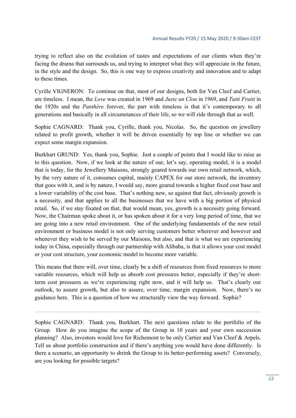trying to reflect also on the evolution of tastes and expectations of our clients when they're facing the drama that surrounds us, and trying to interpret what they will appreciate in the future, in the style and the design. So, this is one way to express creativity and innovation and to adapt to these times.

Cyrille VIGNERON: To continue on that, most of our designs, both for Van Cleef and Cartier, are timeless. I mean, the *Love* was created in 1969 and *Juste un Clou* in 1969, and *Tutti Frutti* in the 1920s and the *Panthère* forever, the part with timeless is that it's contemporary to all generations and basically in all circumstances of their life, so we will ride through that as well.

Sophie CAGNARD: Thank you, Cyrille, thank you, Nicolas. So, the question on jewellery related to profit growth, whether it will be driven essentially by top line or whether we can expect some margin expansion.

Burkhart GRUND: Yes, thank you, Sophie. Just a couple of points that I would like to raise as to this question. Now, if we look at the nature of our, let's say, operating model, it is a model that is today, for the Jewellery Maisons, strongly geared towards our own retail network, which, by the very nature of it, consumes capital, mainly CAPEX for our store network, the inventory that goes with it, and is by nature, I would say, more geared towards a higher fixed cost base and a lower variability of the cost base. That's nothing new, so against that fact, obviously growth is a necessity, and that applies to all the businesses that we have with a big portion of physical retail. So, if we stay fixated on that, that would mean, yes, growth is a necessity going forward. Now, the Chairman spoke about it, or has spoken about it for a very long period of time, that we are going into a new retail environment. One of the underlying fundamentals of the new retail environment or business model is not only serving customers better wherever and however and whenever they wish to be served by our Maisons, but also, and that is what we are experiencing today in China, especially through our partnership with Alibaba, is that it allows your cost model or your cost structure, your economic model to become more variable.

This means that there will, over time, clearly be a shift of resources from fixed resources to more variable resources, which will help us absorb cost pressures better, especially if they're shortterm cost pressures as we're experiencing right now, and it will help us. That's clearly our outlook, to assure growth, but also to assure, over time, margin expansion. Now, there's no guidance here. This is a question of how we structurally view the way forward. Sophie?

Sophie CAGNARD: Thank you, Burkhart. The next questions relate to the portfolio of the Group. How do you imagine the scope of the Group in 10 years and your own succession planning? Also, investors would love for Richemont to be only Cartier and Van Cleef & Arpels. Tell us about portfolio construction and if there's anything you would have done differently. Is there a scenario, an opportunity to shrink the Group to its better-performing assets? Conversely, are you looking for possible targets?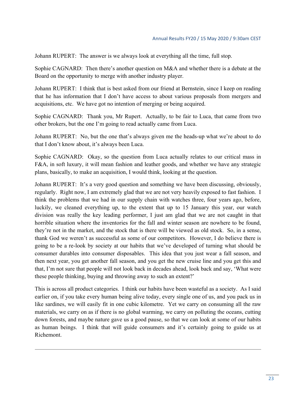Johann RUPERT: The answer is we always look at everything all the time, full stop.

Sophie CAGNARD: Then there's another question on M&A and whether there is a debate at the Board on the opportunity to merge with another industry player.

Johann RUPERT: I think that is best asked from our friend at Bernstein, since I keep on reading that he has information that I don't have access to about various proposals from mergers and acquisitions, etc. We have got no intention of merging or being acquired.

Sophie CAGNARD: Thank you, Mr Rupert. Actually, to be fair to Luca, that came from two other brokers, but the one I'm going to read actually came from Luca.

Johann RUPERT: No, but the one that's always given me the heads-up what we're about to do that I don't know about, it's always been Luca.

Sophie CAGNARD: Okay, so the question from Luca actually relates to our critical mass in F&A, in soft luxury, it will mean fashion and leather goods, and whether we have any strategic plans, basically, to make an acquisition, I would think, looking at the question.

Johann RUPERT: It's a very good question and something we have been discussing, obviously, regularly. Right now, I am extremely glad that we are not very heavily exposed to fast fashion. I think the problems that we had in our supply chain with watches three, four years ago, before, luckily, we cleaned everything up, to the extent that up to 15 January this year, our watch division was really the key leading performer, I just am glad that we are not caught in that horrible situation where the inventories for the fall and winter season are nowhere to be found, they're not in the market, and the stock that is there will be viewed as old stock. So, in a sense, thank God we weren't as successful as some of our competitors. However, I do believe there is going to be a re-look by society at our habits that we've developed of turning what should be consumer durables into consumer disposables. This idea that you just wear a fall season, and then next year, you get another fall season, and you get the new cruise line and you get this and that, I'm not sure that people will not look back in decades ahead, look back and say, 'What were these people thinking, buying and throwing away to such an extent?'

This is across all product categories. I think our habits have been wasteful as a society. As I said earlier on, if you take every human being alive today, every single one of us, and you pack us in like sardines, we will easily fit in one cubic kilometre. Yet we carry on consuming all the raw materials, we carry on as if there is no global warming, we carry on polluting the oceans, cutting down forests, and maybe nature gave us a good pause, so that we can look at some of our habits as human beings. I think that will guide consumers and it's certainly going to guide us at Richemont.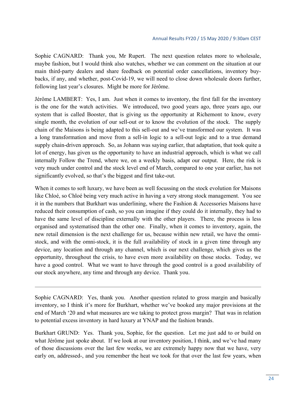Sophie CAGNARD: Thank you, Mr Rupert. The next question relates more to wholesale, maybe fashion, but I would think also watches, whether we can comment on the situation at our main third-party dealers and share feedback on potential order cancellations, inventory buybacks, if any, and whether, post-Covid-19, we will need to close down wholesale doors further, following last year's closures. Might be more for Jérôme.

Jérôme LAMBERT: Yes, I am. Just when it comes to inventory, the first fall for the inventory is the one for the watch activities. We introduced, two good years ago, three years ago, our system that is called Booster, that is giving us the opportunity at Richemont to know, every single month, the evolution of our sell-out or to know the evolution of the stock. The supply chain of the Maisons is being adapted to this sell-out and we've transformed our system. It was a long transformation and move from a sell-in logic to a sell-out logic and to a true demand supply chain-driven approach. So, as Johann was saying earlier, that adaptation, that took quite a lot of energy, has given us the opportunity to have an industrial approach, which is what we call internally Follow the Trend, where we, on a weekly basis, adapt our output. Here, the risk is very much under control and the stock level end of March, compared to one year earlier, has not significantly evolved, so that's the biggest and first take-out.

When it comes to soft luxury, we have been as well focussing on the stock evolution for Maisons like Chloé, so Chloé being very much active in having a very strong stock management. You see it in the numbers that Burkhart was underlining, where the Fashion & Accessories Maisons have reduced their consumption of cash, so you can imagine if they could do it internally, they had to have the same level of discipline externally with the other players. There, the process is less organised and systematised than the other one. Finally, when it comes to inventory, again, the new retail dimension is the next challenge for us, because within new retail, we have the omnistock, and with the omni-stock, it is the full availability of stock in a given time through any device, any location and through any channel, which is our next challenge, which gives us the opportunity, throughout the crisis, to have even more availability on those stocks. Today, we have a good control. What we want to have through the good control is a good availability of our stock anywhere, any time and through any device. Thank you.

Sophie CAGNARD: Yes, thank you. Another question related to gross margin and basically inventory, so I think it's more for Burkhart, whether we've booked any major provisions at the end of March '20 and what measures are we taking to protect gross margin? That was in relation to potential excess inventory in hard luxury at YNAP and the fashion brands.

Burkhart GRUND: Yes. Thank you, Sophie, for the question. Let me just add to or build on what Jérôme just spoke about. If we look at our inventory position, I think, and we've had many of those discussions over the last few weeks, we are extremely happy now that we have, very early on, addressed-, and you remember the heat we took for that over the last few years, when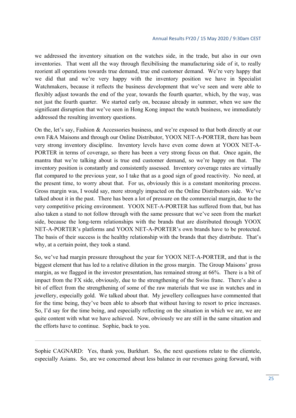we addressed the inventory situation on the watches side, in the trade, but also in our own inventories. That went all the way through flexibilising the manufacturing side of it, to really reorient all operations towards true demand, true end customer demand. We're very happy that we did that and we're very happy with the inventory position we have in Specialist Watchmakers, because it reflects the business development that we've seen and were able to flexibly adjust towards the end of the year, towards the fourth quarter, which, by the way, was not just the fourth quarter. We started early on, because already in summer, when we saw the significant disruption that we've seen in Hong Kong impact the watch business, we immediately addressed the resulting inventory questions.

On the, let's say, Fashion & Accessories business, and we're exposed to that both directly at our own F&A Maisons and through our Online Distributor, YOOX NET-A-PORTER, there has been very strong inventory discipline. Inventory levels have even come down at YOOX NET-A-PORTER in terms of coverage, so there has been a very strong focus on that. Once again, the mantra that we're talking about is true end customer demand, so we're happy on that. The inventory position is constantly and consistently assessed. Inventory coverage rates are virtually flat compared to the previous year, so I take that as a good sign of good reactivity. No need, at the present time, to worry about that. For us, obviously this is a constant monitoring process. Gross margin was, I would say, more strongly impacted on the Online Distributors side. We've talked about it in the past. There has been a lot of pressure on the commercial margin, due to the very competitive pricing environment. YOOX NET-A-PORTER has suffered from that, but has also taken a stand to not follow through with the same pressure that we've seen from the market side, because the long-term relationships with the brands that are distributed through YOOX NET-A-PORTER's platforms and YOOX NET-A-PORTER's own brands have to be protected. The basis of their success is the healthy relationship with the brands that they distribute. That's why, at a certain point, they took a stand.

So, we've had margin pressure throughout the year for YOOX NET-A-PORTER, and that is the biggest element that has led to a relative dilution in the gross margin. The Group Maisons' gross margin, as we flagged in the investor presentation, has remained strong at 66%. There is a bit of impact from the FX side, obviously, due to the strengthening of the Swiss franc. There's also a bit of effect from the strengthening of some of the raw materials that we use in watches and in jewellery, especially gold. We talked about that. My jewellery colleagues have commented that for the time being, they've been able to absorb that without having to resort to price increases. So, I'd say for the time being, and especially reflecting on the situation in which we are, we are quite content with what we have achieved. Now, obviously we are still in the same situation and the efforts have to continue. Sophie, back to you.

Sophie CAGNARD: Yes, thank you, Burkhart. So, the next questions relate to the clientele, especially Asians. So, are we concerned about less balance in our revenues going forward, with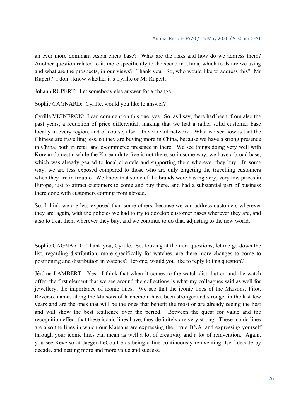an ever more dominant Asian client base? What are the risks and how do we address them? Another question related to it, more specifically to the spend in China, which tools are we using and what are the prospects, in our views? Thank you. So, who would like to address this? Mr Rupert? I don't know whether it's Cyrille or Mr Rupert.

Johann RUPERT: Let somebody else answer for a change.

Sophie CAGNARD: Cyrille, would you like to answer?

Cyrille VIGNERON: I can comment on this one, yes. So, as I say, there had been, from also the past years, a reduction of price differential, making that we had a rather solid customer base locally in every region, and of course, also a travel retail network. What we see now is that the Chinese are travelling less, so they are buying more in China, because we have a strong presence in China, both in retail and e-commerce presence in there. We see things doing very well with Korean domestic while the Korean duty free is not there, so in some way, we have a broad base, which was already geared to local clientele and supporting them wherever they buy. In some way, we are less exposed compared to those who are only targeting the travelling customers when they are in trouble. We know that some of the brands were having very, very low prices in Europe, just to attract customers to come and buy there, and had a substantial part of business there done with customers coming from abroad.

So, I think we are less exposed than some others, because we can address customers wherever they are, again, with the policies we had to try to develop customer bases wherever they are, and also to treat them wherever they buy, and we continue to do that, adjusting to the new world.

Sophie CAGNARD: Thank you, Cyrille. So, looking at the next questions, let me go down the list, regarding distribution, more specifically for watches, are there more changes to come to positioning and distribution in watches? Jérôme, would you like to reply to this question?

Jérôme LAMBERT: Yes. I think that when it comes to the watch distribution and the watch offer, the first element that we see around the collections is what my colleagues said as well for jewellery, the importance of iconic lines. We see that the iconic lines of the Maisons, Pilot, Reverso, names along the Maisons of Richemont have been stronger and stronger in the last few years and are the ones that will be the ones that benefit the most or are already seeing the best and will show the best resilience over the period. Between the quest for value and the recognition effect that these iconic lines have, they definitely are very strong. These iconic lines are also the lines in which our Maisons are expressing their true DNA, and expressing yourself through your iconic lines can mean as well a lot of creativity and a lot of reinvention. Again, you see Reverso at Jaeger-LeCoultre as being a line continuously reinventing itself decade by decade, and getting more and more value and success.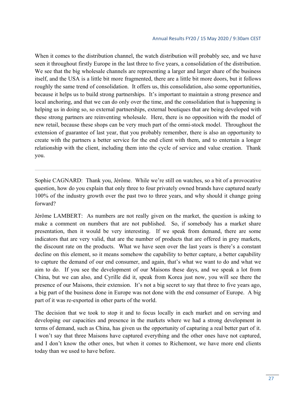When it comes to the distribution channel, the watch distribution will probably see, and we have seen it throughout firstly Europe in the last three to five years, a consolidation of the distribution. We see that the big wholesale channels are representing a larger and larger share of the business itself, and the USA is a little bit more fragmented, there are a little bit more doors, but it follows roughly the same trend of consolidation. It offers us, this consolidation, also some opportunities, because it helps us to build strong partnerships. It's important to maintain a strong presence and local anchoring, and that we can do only over the time, and the consolidation that is happening is helping us in doing so, so external partnerships, external boutiques that are being developed with these strong partners are reinventing wholesale. Here, there is no opposition with the model of new retail, because these shops can be very much part of the omni-stock model. Throughout the extension of guarantee of last year, that you probably remember, there is also an opportunity to create with the partners a better service for the end client with them, and to entertain a longer relationship with the client, including them into the cycle of service and value creation. Thank you.

Sophie CAGNARD: Thank you, Jérôme. While we're still on watches, so a bit of a provocative question, how do you explain that only three to four privately owned brands have captured nearly 100% of the industry growth over the past two to three years, and why should it change going forward?

Jérôme LAMBERT: As numbers are not really given on the market, the question is asking to make a comment on numbers that are not published. So, if somebody has a market share presentation, then it would be very interesting. If we speak from demand, there are some indicators that are very valid, that are the number of products that are offered in grey markets, the discount rate on the products. What we have seen over the last years is there's a constant decline on this element, so it means somehow the capability to better capture, a better capability to capture the demand of our end consumer, and again, that's what we want to do and what we aim to do. If you see the development of our Maisons these days, and we speak a lot from China, but we can also, and Cyrille did it, speak from Korea just now, you will see there the presence of our Maisons, their extension. It's not a big secret to say that three to five years ago, a big part of the business done in Europe was not done with the end consumer of Europe. A big part of it was re-exported in other parts of the world.

The decision that we took to stop it and to focus locally in each market and on serving and developing our capacities and presence in the markets where we had a strong development in terms of demand, such as China, has given us the opportunity of capturing a real better part of it. I won't say that three Maisons have captured everything and the other ones have not captured, and I don't know the other ones, but when it comes to Richemont, we have more end clients today than we used to have before.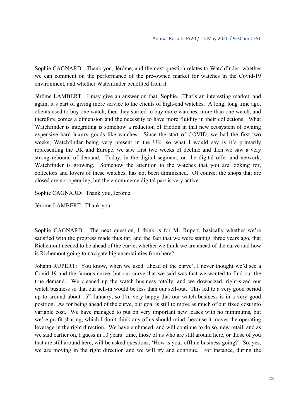Sophie CAGNARD: Thank you, Jérôme, and the next question relates to Watchfinder, whether we can comment on the performance of the pre-owned market for watches in the Covid-19 environment, and whether Watchfinder benefited from it.

Jérôme LAMBERT: I may give an answer on that, Sophie. That's an interesting market, and again, it's part of giving more service to the clients of high-end watches. A long, long time ago, clients used to buy one watch, then they started to buy more watches, more than one watch, and therefore comes a dimension and the necessity to have more fluidity in their collections. What Watchfinder is integrating is somehow a reduction of friction in that new ecosystem of owning expensive hard luxury goods like watches. Since the start of COVID, we had the first two weeks, Watchfinder being very present in the UK, so what I would say is it's primarily representing the UK and Europe, we saw first two weeks of decline and then we saw a very strong rebound of demand. Today, in the digital segment, on the digital offer and network, Watchfinder is growing. Somehow the attention to the watches that you are looking for, collectors and lovers of these watches, has not been diminished. Of course, the shops that are closed are not operating, but the e-commerce digital part is very active.

Sophie CAGNARD: Thank you, Jérôme.

Jérôme LAMBERT: Thank you.

Sophie CAGNARD: The next question, I think is for Mr Rupert, basically whether we're satisfied with the progress made thus far, and the fact that we were stating, three years ago, that Richemont needed to be ahead of the curve, whether we think we are ahead of the curve and how is Richemont going to navigate big uncertainties from here?

Johann RUPERT: You know, when we used 'ahead of the curve', I never thought we'd see a Covid-19 and the famous curve, but our curve that we said was that we wanted to find out the true demand. We cleaned up the watch business totally, and we downsized, right-sized our watch business so that our sell-in would be less than our sell-out. This led to a very good period up to around about  $15<sup>th</sup>$  January, so I'm very happy that our watch business is in a very good position. As for being ahead of the curve, our goal is still to move as much of our fixed cost into variable cost. We have managed to put on very important new leases with no minimums, but we're profit sharing, which I don't think any of us should mind, because it moves the operating leverage in the right direction. We have embraced, and will continue to do so, new retail, and as we said earlier on, I guess in 10 years' time, those of us who are still around here, or those of you that are still around here, will be asked questions, 'How is your offline business going?' So, yes, we are moving in the right direction and we will try and continue. For instance, during the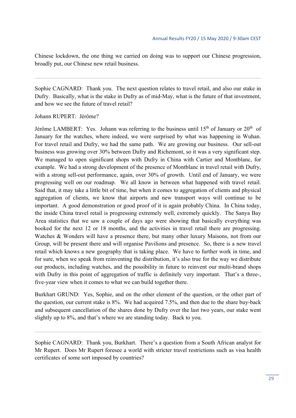Chinese lockdown, the one thing we carried on doing was to support our Chinese progression, broadly put, our Chinese new retail business.

Sophie CAGNARD: Thank you. The next question relates to travel retail, and also our stake in Dufry. Basically, what is the stake in Dufry as of mid-May, what is the future of that investment, and how we see the future of travel retail?

Johann RUPERT: Jérôme?

Jérôme LAMBERT: Yes. Johann was referring to the business until 15<sup>th</sup> of January or  $20<sup>th</sup>$  of January for the watches, where indeed, we were surprised by what was happening in Wuhan. For travel retail and Dufry, we had the same path. We are growing our business. Our sell-out business was growing over 30% between Dufry and Richemont, so it was a very significant step. We managed to open significant shops with Dufry in China with Cartier and Montblanc, for example. We had a strong development of the presence of Montblanc in travel retail with Dufry, with a strong sell-out performance, again, over 30% of growth. Until end of January, we were progressing well on our roadmap. We all know in between what happened with travel retail. Said that, it may take a little bit of time, but when it comes to aggregation of clients and physical aggregation of clients, we know that airports and new transport ways will continue to be important. A good demonstration or good proof of it is again probably China. In China today, the inside China travel retail is progressing extremely well, extremely quickly. The Sanya Bay Area statistics that we saw a couple of days ago were showing that basically everything was booked for the next 12 or 18 months, and the activities in travel retail there are progressing. Watches & Wonders will have a presence there, but many other luxury Maisons, not from our Group, will be present there and will organise Pavilions and presence. So, there is a new travel retail which knows a new geography that is taking place. We have to further work in time, and for sure, when we speak from reinventing the distribution, it's also true for the way we distribute our products, including watches, and the possibility in future to reinvent our multi-brand shops with Dufry in this point of aggregation of traffic is definitely very important. That's a three-, five-year view when it comes to what we can build together there.

Burkhart GRUND: Yes, Sophie, and on the other element of the question, or the other part of the question, our current stake is 8%. We had acquired 7.5%, and then due to the share buy-back and subsequent cancellation of the shares done by Dufry over the last two years, our stake went slightly up to 8%, and that's where we are standing today. Back to you.

Sophie CAGNARD: Thank you, Burkhart. There's a question from a South African analyst for Mr Rupert. Does Mr Rupert foresee a world with stricter travel restrictions such as visa health certificates of some sort imposed by countries?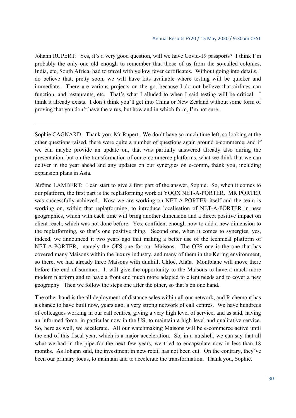Johann RUPERT: Yes, it's a very good question, will we have Covid-19 passports? I think I'm probably the only one old enough to remember that those of us from the so-called colonies, India, etc, South Africa, had to travel with yellow fever certificates. Without going into details, I do believe that, pretty soon, we will have kits available where testing will be quicker and immediate. There are various projects on the go. because I do not believe that airlines can function, and restaurants, etc. That's what I alluded to when I said testing will be critical. I think it already exists. I don't think you'll get into China or New Zealand without some form of proving that you don't have the virus, but how and in which form, I'm not sure.

Sophie CAGNARD: Thank you, Mr Rupert. We don't have so much time left, so looking at the other questions raised, there were quite a number of questions again around e-commerce, and if we can maybe provide an update on, that was partially answered already also during the presentation, but on the transformation of our e-commerce platforms, what we think that we can deliver in the year ahead and any updates on our synergies on e-comm, thank you, including expansion plans in Asia.

Jérôme LAMBERT: I can start to give a first part of the answer, Sophie. So, when it comes to our platform, the first part is the replatforming work at YOOX NET-A-PORTER. MR PORTER was successfully achieved. Now we are working on NET-A-PORTER itself and the team is working on, within that replatforming, to introduce localisation of NET-A-PORTER in new geographies, which with each time will bring another dimension and a direct positive impact on client reach, which was not done before. Yes, confident enough now to add a new dimension to the replatforming, so that's one positive thing. Second one, when it comes to synergies, yes, indeed, we announced it two years ago that making a better use of the technical platform of NET-A-PORTER, namely the OFS one for our Maisons. The OFS one is the one that has covered many Maisons within the luxury industry, and many of them in the Kering environment, so there, we had already three Maisons with dunhill, Chloé, Alaïa. Montblanc will move there before the end of summer. It will give the opportunity to the Maisons to have a much more modern platform and to have a front end much more adapted to client needs and to cover a new geography. Then we follow the steps one after the other, so that's on one hand.

The other hand is the all deployment of distance sales within all our network, and Richemont has a chance to have built now, years ago, a very strong network of call centres. We have hundreds of colleagues working in our call centres, giving a very high level of service, and as said, having an informed force, in particular now in the US, to maintain a high level and qualitative service. So, here as well, we accelerate. All our watchmaking Maisons will be e-commerce active until the end of this fiscal year, which is a major acceleration. So, in a nutshell, we can say that all what we had in the pipe for the next few years, we tried to encapsulate now in less than 18 months. As Johann said, the investment in new retail has not been cut. On the contrary, they've been our primary focus, to maintain and to accelerate the transformation. Thank you, Sophie.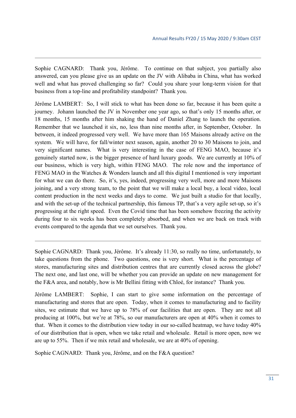Sophie CAGNARD: Thank you, Jérôme. To continue on that subject, you partially also answered, can you please give us an update on the JV with Alibaba in China, what has worked well and what has proved challenging so far? Could you share your long-term vision for that business from a top-line and profitability standpoint? Thank you.

Jérôme LAMBERT: So, I will stick to what has been done so far, because it has been quite a journey. Johann launched the JV in November one year ago, so that's only 15 months after, or 18 months, 15 months after him shaking the hand of Daniel Zhang to launch the operation. Remember that we launched it six, no, less than nine months after, in September, October. In between, it indeed progressed very well. We have more than 165 Maisons already active on the system. We will have, for fall/winter next season, again, another 20 to 30 Maisons to join, and very significant names. What is very interesting in the case of FENG MAO, because it's genuinely started now, is the bigger presence of hard luxury goods. We are currently at 10% of our business, which is very high, within FENG MAO. The role now and the importance of FENG MAO in the Watches & Wonders launch and all this digital I mentioned is very important for what we can do there. So, it's, yes, indeed, progressing very well, more and more Maisons joining, and a very strong team, to the point that we will make a local buy, a local video, local content production in the next weeks and days to come. We just built a studio for that locally, and with the set-up of the technical partnership, this famous TP, that's a very agile set-up, so it's progressing at the right speed. Even the Covid time that has been somehow freezing the activity during four to six weeks has been completely absorbed, and when we are back on track with events compared to the agenda that we set ourselves. Thank you.

Sophie CAGNARD: Thank you, Jérôme. It's already 11:30, so really no time, unfortunately, to take questions from the phone. Two questions, one is very short. What is the percentage of stores, manufacturing sites and distribution centres that are currently closed across the globe? The next one, and last one, will be whether you can provide an update on new management for the F&A area, and notably, how is Mr Bellini fitting with Chloé, for instance? Thank you.

Jérôme LAMBERT: Sophie, I can start to give some information on the percentage of manufacturing and stores that are open. Today, when it comes to manufacturing and to facility sites, we estimate that we have up to 78% of our facilities that are open. They are not all producing at 100%, but we're at 78%, so our manufacturers are open at 40% when it comes to that. When it comes to the distribution view today in our so-called heatmap, we have today 40% of our distribution that is open, when we take retail and wholesale. Retail is more open, now we are up to 55%. Then if we mix retail and wholesale, we are at 40% of opening.

Sophie CAGNARD: Thank you, Jérôme, and on the F&A question?